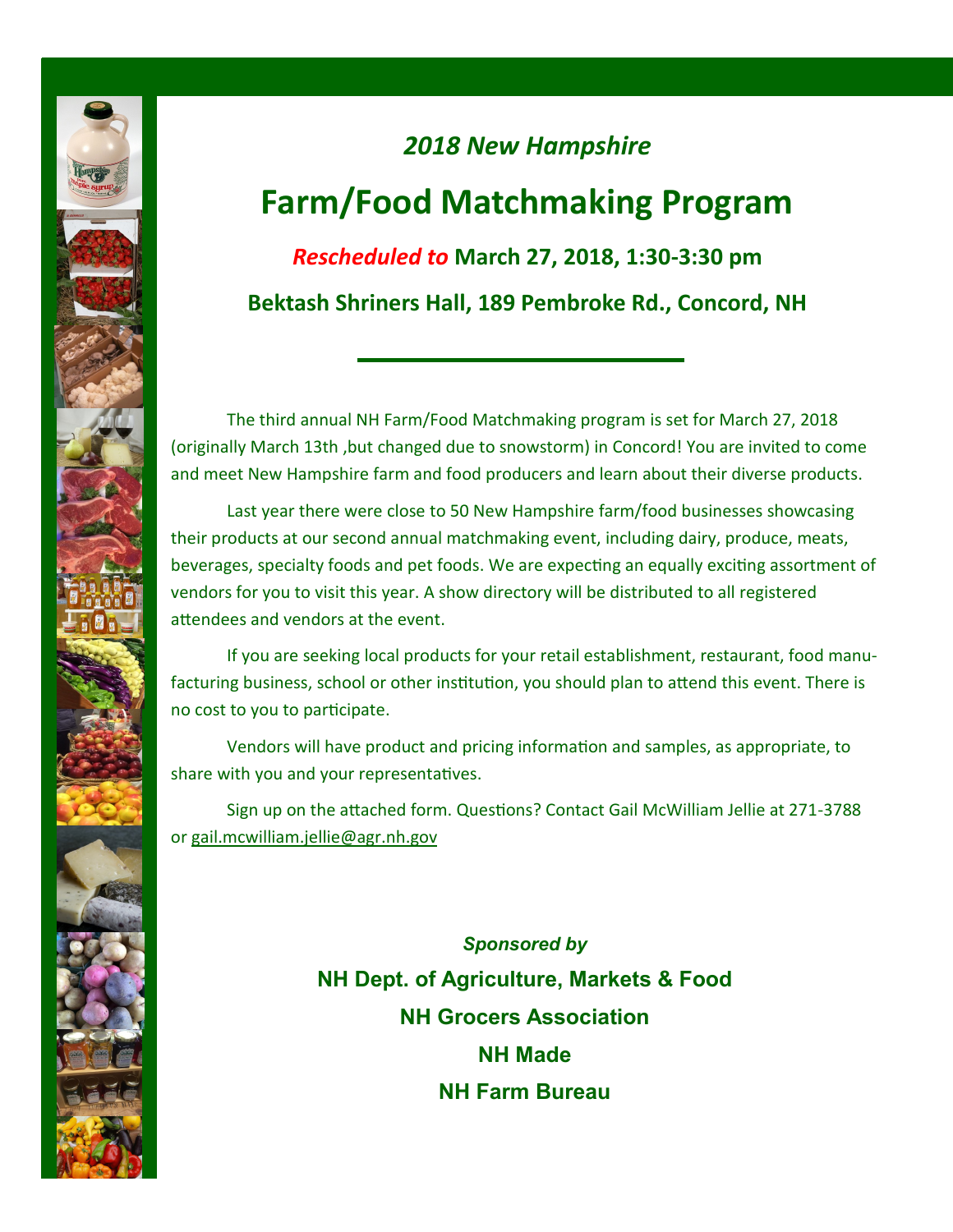## *2018 New Hampshire*  **Farm/Food Matchmaking Program** *Rescheduled to* **March 27, 2018, 1:30-3:30 pm**

**Bektash Shriners Hall, 189 Pembroke Rd., Concord, NH**

The third annual NH Farm/Food Matchmaking program is set for March 27, 2018 (originally March 13th ,but changed due to snowstorm) in Concord! You are invited to come and meet New Hampshire farm and food producers and learn about their diverse products.

Last year there were close to 50 New Hampshire farm/food businesses showcasing their products at our second annual matchmaking event, including dairy, produce, meats, beverages, specialty foods and pet foods. We are expecting an equally exciting assortment of vendors for you to visit this year. A show directory will be distributed to all registered attendees and vendors at the event.

If you are seeking local products for your retail establishment, restaurant, food manufacturing business, school or other institution, you should plan to attend this event. There is no cost to you to participate.

Vendors will have product and pricing information and samples, as appropriate, to share with you and your representatives.

Sign up on the attached form. Questions? Contact Gail McWilliam Jellie at 271-3788 or gail.mcwilliam.jellie@agr.nh.gov

> *Sponsored by*  **NH Dept. of Agriculture, Markets & Food NH Grocers Association NH Made NH Farm Bureau**